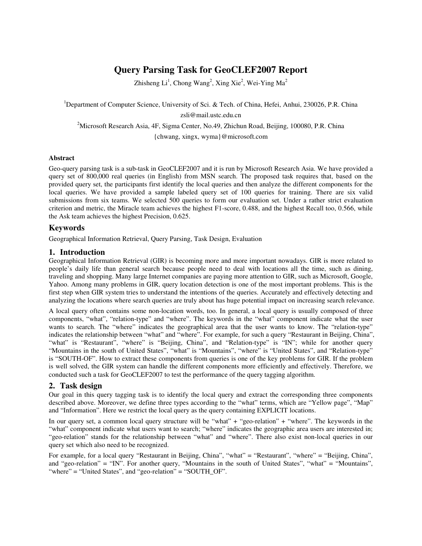# **Query Parsing Task for GeoCLEF2007 Report**

Zhisheng  $Li<sup>1</sup>$ , Chong Wang<sup>2</sup>, Xing Xie<sup>2</sup>, Wei-Ying Ma<sup>2</sup>

<sup>1</sup>Department of Computer Science, University of Sci. & Tech. of China, Hefei, Anhui, 230026, P.R. China zsli@mail.ustc.edu.cn

<sup>2</sup>Microsoft Research Asia, 4F, Sigma Center, No.49, Zhichun Road, Beijing, 100080, P.R. China {chwang, xingx, wyma}@microsoft.com

#### **Abstract**

Geo-query parsing task is a sub-task in GeoCLEF2007 and it is run by Microsoft Research Asia. We have provided a query set of 800,000 real queries (in English) from MSN search. The proposed task requires that, based on the provided query set, the participants first identify the local queries and then analyze the different components for the local queries. We have provided a sample labeled query set of 100 queries for training. There are six valid submissions from six teams. We selected 500 queries to form our evaluation set. Under a rather strict evaluation criterion and metric, the Miracle team achieves the highest F1-score, 0.488, and the highest Recall too, 0.566, while the Ask team achieves the highest Precision, 0.625.

## **Keywords**

Geographical Information Retrieval, Query Parsing, Task Design, Evaluation

## **1. Introduction**

Geographical Information Retrieval (GIR) is becoming more and more important nowadays. GIR is more related to people's daily life than general search because people need to deal with locations all the time, such as dining, traveling and shopping. Many large Internet companies are paying more attention to GIR, such as Microsoft, Google, Yahoo. Among many problems in GIR, query location detection is one of the most important problems. This is the first step when GIR system tries to understand the intentions of the queries. Accurately and effectively detecting and analyzing the locations where search queries are truly about has huge potential impact on increasing search relevance.

A local query often contains some non-location words, too. In general, a local query is usually composed of three components, "what", "relation-type" and "where". The keywords in the "what" component indicate what the user wants to search. The "where" indicates the geographical area that the user wants to know. The "relation-type" indicates the relationship between "what" and "where". For example, for such a query "Restaurant in Beijing, China", "what" is "Restaurant", "where" is "Beijing, China", and "Relation-type" is "IN"; while for another query "Mountains in the south of United States", "what" is "Mountains", "where" is "United States", and "Relation-type" is "SOUTH-OF". How to extract these components from queries is one of the key problems for GIR. If the problem is well solved, the GIR system can handle the different components more efficiently and effectively. Therefore, we conducted such a task for GeoCLEF2007 to test the performance of the query tagging algorithm.

## **2. Task design**

Our goal in this query tagging task is to identify the local query and extract the corresponding three components described above. Moreover, we define three types according to the "what" terms, which are "Yellow page", "Map" and "Information". Here we restrict the local query as the query containing EXPLICIT locations.

In our query set, a common local query structure will be "what" + "geo-relation" + "where". The keywords in the "what" component indicate what users want to search; "where" indicates the geographic area users are interested in; "geo-relation" stands for the relationship between "what" and "where". There also exist non-local queries in our query set which also need to be recognized.

For example, for a local query "Restaurant in Beijing, China", "what" = "Restaurant", "where" = "Beijing, China", and "geo-relation" = "IN". For another query, "Mountains in the south of United States", "what" = "Mountains", "where" = "United States", and "geo-relation" = "SOUTH\_OF".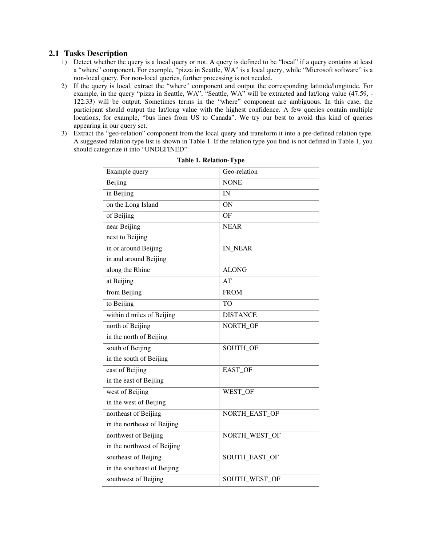## **2.1 Tasks Description**

- 1) Detect whether the query is a local query or not. A query is defined to be "local" if a query contains at least a "where" component. For example, "pizza in Seattle, WA" is a local query, while "Microsoft software" is a non-local query. For non-local queries, further processing is not needed.
- 2) If the query is local, extract the "where" component and output the corresponding latitude/longitude. For example, in the query "pizza in Seattle, WA", "Seattle, WA" will be extracted and lat/long value (47.59, - 122.33) will be output. Sometimes terms in the "where" component are ambiguous. In this case, the participant should output the lat/long value with the highest confidence. A few queries contain multiple locations, for example, "bus lines from US to Canada". We try our best to avoid this kind of queries appearing in our query set.
- 3) Extract the "geo-relation" component from the local query and transform it into a pre-defined relation type. A suggested relation type list is shown in Table 1. If the relation type you find is not defined in Table 1, you should categorize it into "UNDEFINED".

| Example query               | Geo-relation    |
|-----------------------------|-----------------|
| Beijing                     | <b>NONE</b>     |
| in Beijing                  | IN              |
| on the Long Island          | ON              |
| of Beijing                  | OF              |
| near Beijing                | <b>NEAR</b>     |
| next to Beijing             |                 |
| in or around Beijing        | IN NEAR         |
| in and around Beijing       |                 |
| along the Rhine             | <b>ALONG</b>    |
| at Beijing                  | AT              |
| from Beijing                | <b>FROM</b>     |
| to Beijing                  | T <sub>O</sub>  |
| within d miles of Beijing   | <b>DISTANCE</b> |
| north of Beijing            | NORTH_OF        |
| in the north of Beijing     |                 |
| south of Beijing            | SOUTH_OF        |
| in the south of Beijing     |                 |
| east of Beijing             | EAST_OF         |
| in the east of Beijing      |                 |
| west of Beijing             | WEST_OF         |
| in the west of Beijing      |                 |
| northeast of Beijing        | NORTH_EAST_OF   |
| in the northeast of Beijing |                 |
| northwest of Beijing        | NORTH_WEST_OF   |
| in the northwest of Beijing |                 |
| southeast of Beijing        | SOUTH_EAST_OF   |
| in the southeast of Beijing |                 |
| southwest of Beijing        | SOUTH_WEST_OF   |

|  |  | Table 1. Relation-Type |
|--|--|------------------------|
|--|--|------------------------|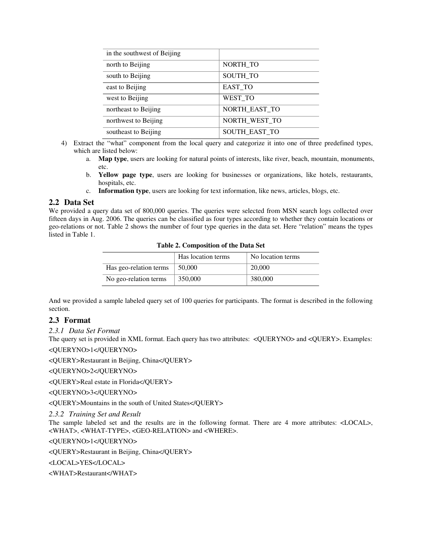| in the southwest of Beijing |                      |
|-----------------------------|----------------------|
| north to Beijing            | NORTH TO             |
| south to Beijing            | <b>SOUTH TO</b>      |
| east to Beijing             | <b>EAST TO</b>       |
| west to Beijing             | WEST TO              |
| northeast to Beijing        | NORTH EAST TO        |
| northwest to Beijing        | NORTH WEST TO        |
| southeast to Beijing        | <b>SOUTH EAST TO</b> |

- 4) Extract the "what" component from the local query and categorize it into one of three predefined types, which are listed below:
	- a. **Map type**, users are looking for natural points of interests, like river, beach, mountain, monuments, etc.
	- b. **Yellow page type**, users are looking for businesses or organizations, like hotels, restaurants, hospitals, etc.
	- c. **Information type**, users are looking for text information, like news, articles, blogs, etc.

#### **2.2 Data Set**

We provided a query data set of 800,000 queries. The queries were selected from MSN search logs collected over fifteen days in Aug. 2006. The queries can be classified as four types according to whether they contain locations or geo-relations or not. Table 2 shows the number of four type queries in the data set. Here "relation" means the types listed in Table 1.

| Table 2. Composition of the Data Set |                    |                   |  |
|--------------------------------------|--------------------|-------------------|--|
|                                      | Has location terms | No location terms |  |
| Has geo-relation terms               | 50,000             | 20,000            |  |
| No geo-relation terms                | 350,000            | 380,000           |  |

**Table 2. Composition of the Data Set** 

And we provided a sample labeled query set of 100 queries for participants. The format is described in the following section.

#### **2.3 Format**

*2.3.1 Data Set Format* 

The query set is provided in XML format. Each query has two attributes: <QUERYNO> and <QUERY>. Examples: <QUERYNO>1</QUERYNO>

<QUERY>Restaurant in Beijing, China</QUERY>

<QUERYNO>2</QUERYNO>

<QUERY>Real estate in Florida</QUERY>

<QUERYNO>3</QUERYNO>

<QUERY>Mountains in the south of United States</QUERY>

*2.3.2 Training Set and Result* 

The sample labeled set and the results are in the following format. There are 4 more attributes: <LOCAL>, <WHAT>, <WHAT-TYPE>, <GEO-RELATION> and <WHERE>.

<QUERYNO>1</QUERYNO>

<QUERY>Restaurant in Beijing, China</QUERY>

<LOCAL>YES</LOCAL>

<WHAT>Restaurant</WHAT>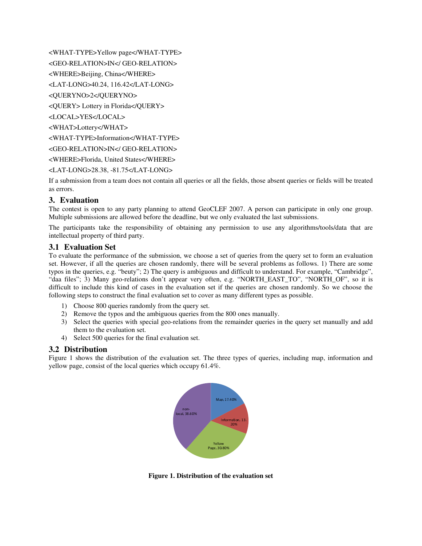<WHAT-TYPE>Yellow page</WHAT-TYPE>

<GEO-RELATION>IN</ GEO-RELATION>

<WHERE>Beijing, China</WHERE>

<LAT-LONG>40.24, 116.42</LAT-LONG>

<QUERYNO>2</QUERYNO>

<QUERY> Lottery in Florida</QUERY>

<LOCAL>YES</LOCAL>

<WHAT>Lottery</WHAT>

<WHAT-TYPE>Information</WHAT-TYPE>

<GEO-RELATION>IN</ GEO-RELATION>

<WHERE>Florida, United States</WHERE>

<LAT-LONG>28.38, -81.75</LAT-LONG>

If a submission from a team does not contain all queries or all the fields, those absent queries or fields will be treated as errors.

## **3. Evaluation**

The contest is open to any party planning to attend GeoCLEF 2007. A person can participate in only one group. Multiple submissions are allowed before the deadline, but we only evaluated the last submissions.

The participants take the responsibility of obtaining any permission to use any algorithms/tools/data that are intellectual property of third party.

## **3.1 Evaluation Set**

To evaluate the performance of the submission, we choose a set of queries from the query set to form an evaluation set. However, if all the queries are chosen randomly, there will be several problems as follows. 1) There are some typos in the queries, e.g. "beuty"; 2) The query is ambiguous and difficult to understand. For example, "Cambridge", "daa files"; 3) Many geo-relations don't appear very often, e.g. "NORTH\_EAST\_TO", "NORTH\_OF", so it is difficult to include this kind of cases in the evaluation set if the queries are chosen randomly. So we choose the following steps to construct the final evaluation set to cover as many different types as possible.

- 1) Choose 800 queries randomly from the query set.
- 2) Remove the typos and the ambiguous queries from the 800 ones manually.
- 3) Select the queries with special geo-relations from the remainder queries in the query set manually and add them to the evaluation set.
- 4) Select 500 queries for the final evaluation set.

## **3.2 Distribution**

Figure 1 shows the distribution of the evaluation set. The three types of queries, including map, information and yellow page, consist of the local queries which occupy 61.4%.



**Figure 1. Distribution of the evaluation set**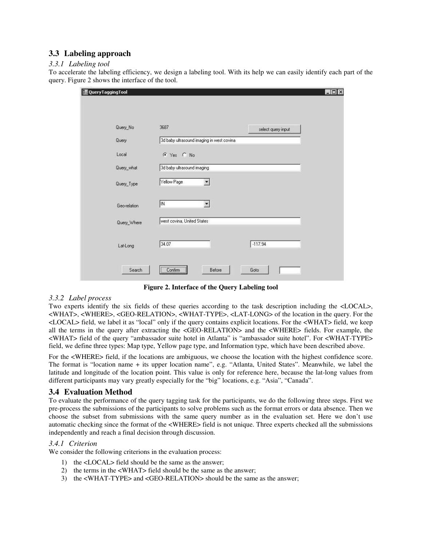# **3.3 Labeling approach**

## *3.3.1 Labeling tool*

To accelerate the labeling efficiency, we design a labeling tool. With its help we can easily identify each part of the query. Figure 2 shows the interface of the tool.

| QueryTaggingTool |                                           |                    | $ \Box$ $\times$ |
|------------------|-------------------------------------------|--------------------|------------------|
| Query_No         | 3687                                      | select query input |                  |
| Query            | 3d baby ultrasound imaging in west covina |                    |                  |
| Local            | $C$ Yes $C$ No                            |                    |                  |
| Query_what       | 3d baby ultrasound imaging                |                    |                  |
| Query_Type       | Yellow Page<br>$\vert$                    |                    |                  |
| Geo-relation     | IN.<br>$\overline{\phantom{a}}$           |                    |                  |
| Query_Where      | west covina, United States                |                    |                  |
| Lat-Long         | 34.07                                     | $-117.94$          |                  |
| Search           | Confirm<br>Before                         | Goto               |                  |

**Figure 2. Interface of the Query Labeling tool** 

## *3.3.2 Label process*

Two experts identify the six fields of these queries according to the task description including the <LOCAL>, <WHAT>, <WHERE>, <GEO-RELATION>, <WHAT-TYPE>, <LAT-LONG> of the location in the query. For the <LOCAL> field, we label it as "local" only if the query contains explicit locations. For the <WHAT> field, we keep all the terms in the query after extracting the <GEO-RELATION> and the <WHERE> fields. For example, the <WHAT> field of the query "ambassador suite hotel in Atlanta" is "ambassador suite hotel". For <WHAT-TYPE> field, we define three types: Map type, Yellow page type, and Information type, which have been described above.

For the  $\leq$ WHERE $\geq$  field, if the locations are ambiguous, we choose the location with the highest confidence score. The format is "location name + its upper location name", e.g. "Atlanta, United States". Meanwhile, we label the latitude and longitude of the location point. This value is only for reference here, because the lat-long values from different participants may vary greatly especially for the "big" locations, e.g. "Asia", "Canada".

# **3.4 Evaluation Method**

To evaluate the performance of the query tagging task for the participants, we do the following three steps. First we pre-process the submissions of the participants to solve problems such as the format errors or data absence. Then we choose the subset from submissions with the same query number as in the evaluation set. Here we don't use automatic checking since the format of the <WHERE> field is not unique. Three experts checked all the submissions independently and reach a final decision through discussion.

#### *3.4.1 Criterion*

We consider the following criterions in the evaluation process:

- 1) the <LOCAL> field should be the same as the answer;
- 2) the terms in the <WHAT> field should be the same as the answer;
- 3) the <WHAT-TYPE> and <GEO-RELATION> should be the same as the answer;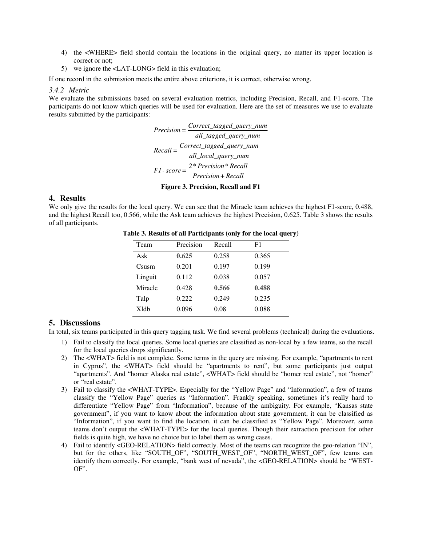- 4) the <WHERE> field should contain the locations in the original query, no matter its upper location is correct or not;
- 5) we ignore the <LAT-LONG> field in this evaluation;

If one record in the submission meets the entire above criterions, it is correct, otherwise wrong.

## *3.4.2 Metric*

We evaluate the submissions based on several evaluation metrics, including Precision, Recall, and F1-score. The participants do not know which queries will be used for evaluation. Here are the set of measures we use to evaluate results submitted by the participants:

> *Correct\_tagged\_query\_num Precision = all\_tagged\_query\_num Correct\_tagged\_query\_num Recall = all\_local\_query\_num 2\* Precision\* Recall F1- score = Precision+ Recall*

**Figure 3. Precision, Recall and F1** 

## **4. Results**

We only give the results for the local query. We can see that the Miracle team achieves the highest F1-score, 0.488, and the highest Recall too, 0.566, while the Ask team achieves the highest Precision, 0.625. Table 3 shows the results of all participants.

| Team              | Precision | Recall | F1    |
|-------------------|-----------|--------|-------|
| Ask               | 0.625     | 0.258  | 0.365 |
| C <sub>susm</sub> | 0.201     | 0.197  | 0.199 |
| Linguit           | 0.112     | 0.038  | 0.057 |
| Miracle           | 0.428     | 0.566  | 0.488 |
| Talp              | 0.222     | 0.249  | 0.235 |
| <b>X</b> ldb      | 0.096     | 0.08   | 0.088 |

**Table 3. Results of all Participants (only for the local query)**

#### **5. Discussions**

In total, six teams participated in this query tagging task. We find several problems (technical) during the evaluations.

- 1) Fail to classify the local queries. Some local queries are classified as non-local by a few teams, so the recall for the local queries drops significantly.
- 2) The <WHAT> field is not complete. Some terms in the query are missing. For example, "apartments to rent in Cyprus", the <WHAT> field should be "apartments to rent", but some participants just output "apartments". And "homer Alaska real estate", <WHAT> field should be "homer real estate", not "homer" or "real estate".
- 3) Fail to classify the <WHAT-TYPE>. Especially for the "Yellow Page" and "Information", a few of teams classify the "Yellow Page" queries as "Information". Frankly speaking, sometimes it's really hard to differentiate "Yellow Page" from "Information", because of the ambiguity. For example, "Kansas state government", if you want to know about the information about state government, it can be classified as "Information", if you want to find the location, it can be classified as "Yellow Page". Moreover, some teams don't output the <WHAT-TYPE> for the local queries. Though their extraction precision for other fields is quite high, we have no choice but to label them as wrong cases.
- 4) Fail to identify <GEO-RELATION> field correctly. Most of the teams can recognize the geo-relation "IN", but for the others, like "SOUTH\_OF", "SOUTH\_WEST\_OF", "NORTH\_WEST\_OF", few teams can identify them correctly. For example, "bank west of nevada", the <GEO-RELATION> should be "WEST-OF".